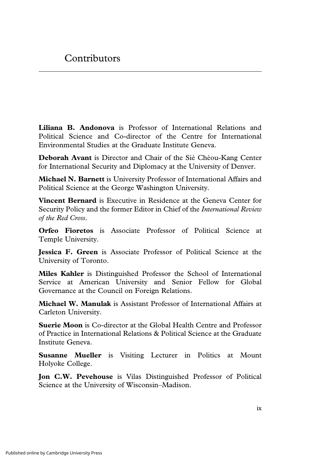**Liliana B. Andonova** is Professor of International Relations and Political Science and Co-director of the Centre for International Environmental Studies at the Graduate Institute Geneva.

**Deborah Avant** is Director and Chair of the Sié Chéou-Kang Center for International Security and Diplomacy at the University of Denver.

**Michael N. Barnett** is University Professor of International Affairs and Political Science at the George Washington University.

**Vincent Bernard** is Executive in Residence at the Geneva Center for Security Policy and the former Editor in Chief of the *International Review of the Red Cross*.

**Orfeo Fioretos** is Associate Professor of Political Science at Temple University.

**Jessica F. Green** is Associate Professor of Political Science at the University of Toronto.

**Miles Kahler** is Distinguished Professor the School of International Service at American University and Senior Fellow for Global Governance at the Council on Foreign Relations.

**Michael W. Manulak** is Assistant Professor of International Affairs at Carleton University.

**Suerie Moon** is Co-director at the Global Health Centre and Professor of Practice in International Relations & Political Science at the Graduate Institute Geneva.

**Susanne Mueller** is Visiting Lecturer in Politics at Mount Holyoke College.

**Jon C.W. Pevehouse** is Vilas Distinguished Professor of Political Science at the University of Wisconsin–Madison.